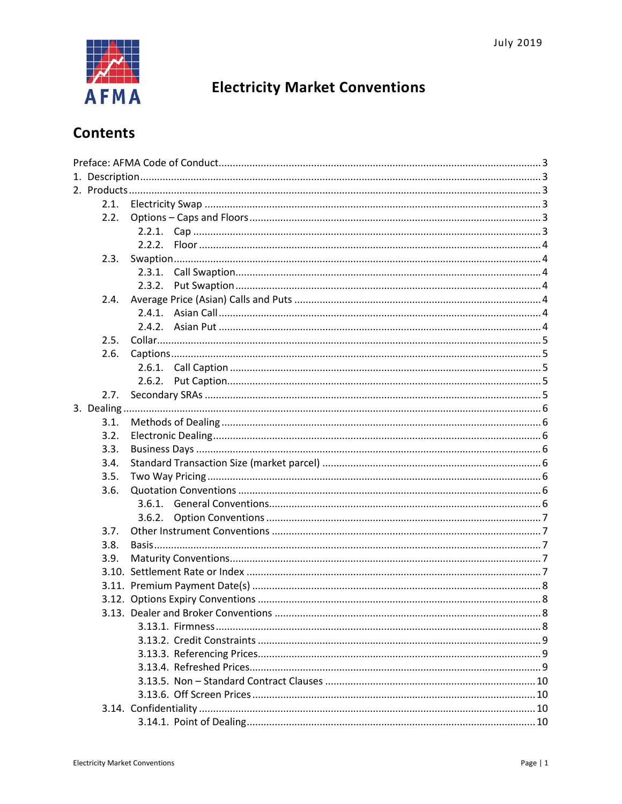

# **Electricity Market Conventions**

# **Contents**

|  | 2.1. |                                     |  |
|--|------|-------------------------------------|--|
|  | 2.2. |                                     |  |
|  |      |                                     |  |
|  |      |                                     |  |
|  | 2.3. |                                     |  |
|  |      |                                     |  |
|  |      | 2.3.2.                              |  |
|  | 2.4. |                                     |  |
|  |      | 2.4.1.                              |  |
|  |      |                                     |  |
|  | 2.5. |                                     |  |
|  | 2.6. |                                     |  |
|  |      |                                     |  |
|  |      | 2.6.2.                              |  |
|  | 2.7. |                                     |  |
|  |      |                                     |  |
|  | 3.1. |                                     |  |
|  | 3.2. |                                     |  |
|  | 3.3. |                                     |  |
|  | 3.4. |                                     |  |
|  | 3.5. |                                     |  |
|  | 3.6. |                                     |  |
|  |      |                                     |  |
|  |      |                                     |  |
|  | 3.7. |                                     |  |
|  | 3.8. |                                     |  |
|  | 3.9. |                                     |  |
|  |      |                                     |  |
|  |      |                                     |  |
|  |      |                                     |  |
|  |      | 3.13. Dealer and Broker Conventions |  |
|  |      |                                     |  |
|  |      |                                     |  |
|  |      |                                     |  |
|  |      |                                     |  |
|  |      |                                     |  |
|  |      |                                     |  |
|  |      |                                     |  |
|  |      |                                     |  |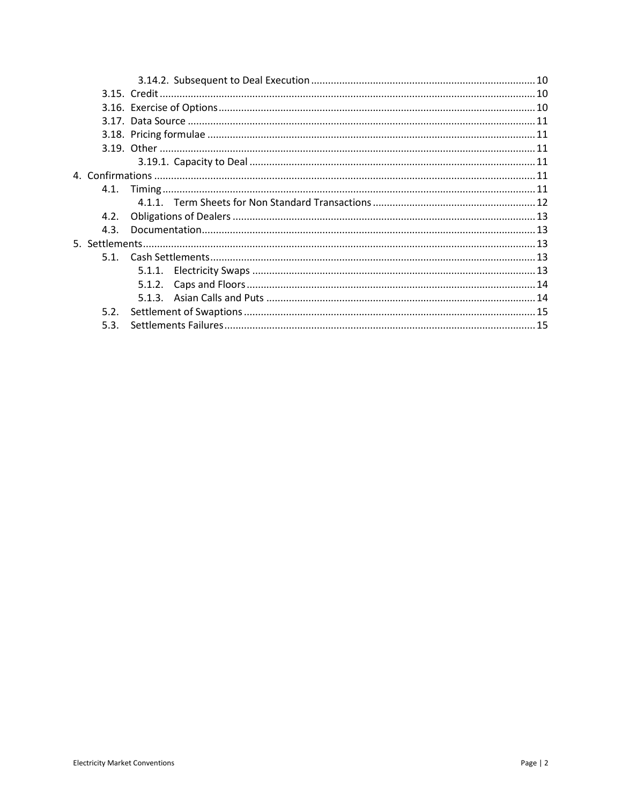| 4.2. |  |
|------|--|
| 4.3. |  |
|      |  |
|      |  |
|      |  |
|      |  |
|      |  |
| 5.2. |  |
| 5.3. |  |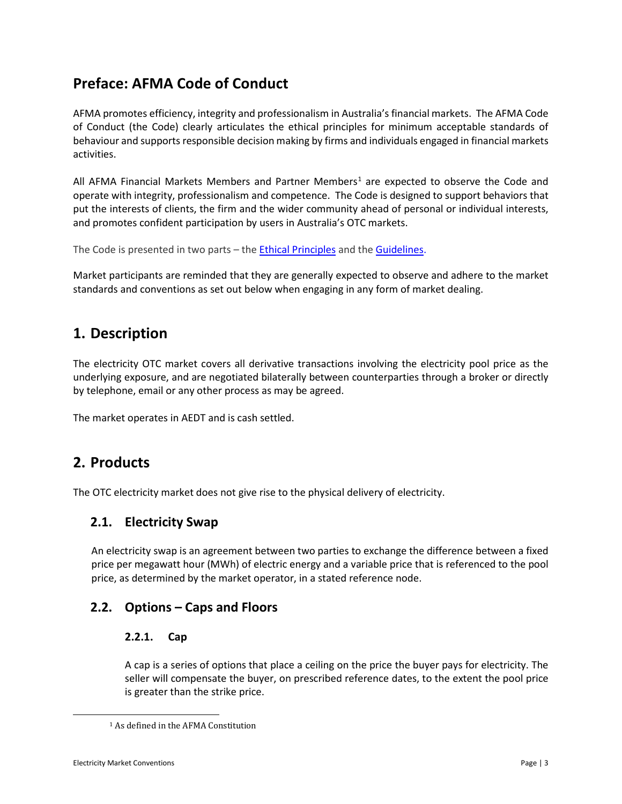## <span id="page-2-0"></span>**Preface: AFMA Code of Conduct**

AFMA promotes efficiency, integrity and professionalism in Australia's financial markets. The AFMA Code of Conduct (the Code) clearly articulates the ethical principles for minimum acceptable standards of behaviour and supports responsible decision making by firms and individuals engaged in financial markets activities.

All AFMA Financial Markets Members and Partner Members<sup>1</sup> are expected to observe the Code and operate with integrity, professionalism and competence. The Code is designed to support behaviors that put the interests of clients, the firm and the wider community ahead of personal or individual interests, and promotes confident participation by users in Australia's OTC markets.

The Code is presented in two parts - the **Ethical Principles** and the **Guidelines**.

Market participants are reminded that they are generally expected to observe and adhere to the market standards and conventions as set out below when engaging in any form of market dealing.

## <span id="page-2-1"></span>**1. Description**

The electricity OTC market covers all derivative transactions involving the electricity pool price as the underlying exposure, and are negotiated bilaterally between counterparties through a broker or directly by telephone, email or any other process as may be agreed.

The market operates in AEDT and is cash settled.

## <span id="page-2-2"></span>**2. Products**

The OTC electricity market does not give rise to the physical delivery of electricity.

## <span id="page-2-3"></span>**2.1. Electricity Swap**

An electricity swap is an agreement between two parties to exchange the difference between a fixed price per megawatt hour (MWh) of electric energy and a variable price that is referenced to the pool price, as determined by the market operator, in a stated reference node.

## <span id="page-2-5"></span><span id="page-2-4"></span>**2.2. Options – Caps and Floors**

### **2.2.1. Cap**

A cap is a series of options that place a ceiling on the price the buyer pays for electricity. The seller will compensate the buyer, on prescribed reference dates, to the extent the pool price is greater than the strike price.

<span id="page-2-6"></span> $\overline{\phantom{a}}$ 

<sup>1</sup> As defined in the AFMA Constitution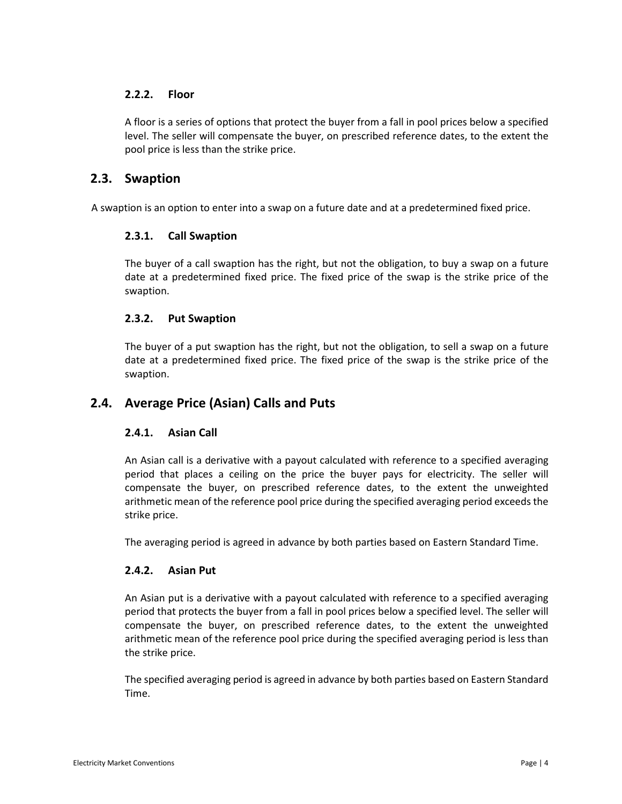### <span id="page-3-0"></span>**2.2.2. Floor**

A floor is a series of options that protect the buyer from a fall in pool prices below a specified level. The seller will compensate the buyer, on prescribed reference dates, to the extent the pool price is less than the strike price.

### <span id="page-3-1"></span>**2.3. Swaption**

<span id="page-3-2"></span>A swaption is an option to enter into a swap on a future date and at a predetermined fixed price.

#### **2.3.1. Call Swaption**

The buyer of a call swaption has the right, but not the obligation, to buy a swap on a future date at a predetermined fixed price. The fixed price of the swap is the strike price of the swaption.

#### <span id="page-3-3"></span>**2.3.2. Put Swaption**

The buyer of a put swaption has the right, but not the obligation, to sell a swap on a future date at a predetermined fixed price. The fixed price of the swap is the strike price of the swaption.

## <span id="page-3-5"></span><span id="page-3-4"></span>**2.4. Average Price (Asian) Calls and Puts**

#### **2.4.1. Asian Call**

An Asian call is a derivative with a payout calculated with reference to a specified averaging period that places a ceiling on the price the buyer pays for electricity. The seller will compensate the buyer, on prescribed reference dates, to the extent the unweighted arithmetic mean of the reference pool price during the specified averaging period exceeds the strike price.

The averaging period is agreed in advance by both parties based on Eastern Standard Time.

#### <span id="page-3-6"></span>**2.4.2. Asian Put**

An Asian put is a derivative with a payout calculated with reference to a specified averaging period that protects the buyer from a fall in pool prices below a specified level. The seller will compensate the buyer, on prescribed reference dates, to the extent the unweighted arithmetic mean of the reference pool price during the specified averaging period is less than the strike price.

The specified averaging period is agreed in advance by both parties based on Eastern Standard Time.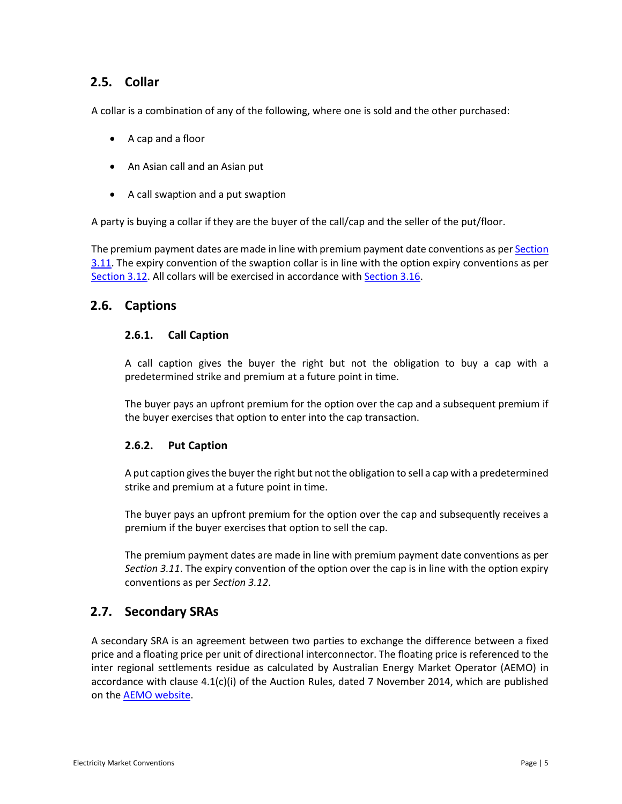## <span id="page-4-0"></span>**2.5. Collar**

A collar is a combination of any of the following, where one is sold and the other purchased:

- A cap and a floor
- An Asian call and an Asian put
- A call swaption and a put swaption

A party is buying a collar if they are the buyer of the call/cap and the seller of the put/floor.

The premium payment dates are made in line with premium payment date conventions as pe[r Section](#page-7-0)  [3.11.](#page-7-0) The expiry convention of the swaption collar is in line with the option expiry conventions as per [Section 3.12.](#page-7-1) All collars will be exercised in accordance wit[h Section 3.16.](#page-9-6)

## <span id="page-4-2"></span><span id="page-4-1"></span>**2.6. Captions**

#### **2.6.1. Call Caption**

A call caption gives the buyer the right but not the obligation to buy a cap with a predetermined strike and premium at a future point in time.

The buyer pays an upfront premium for the option over the cap and a subsequent premium if the buyer exercises that option to enter into the cap transaction.

#### <span id="page-4-3"></span>**2.6.2. Put Caption**

A put caption gives the buyer the right but not the obligation to sell a cap with a predetermined strike and premium at a future point in time.

The buyer pays an upfront premium for the option over the cap and subsequently receives a premium if the buyer exercises that option to sell the cap.

The premium payment dates are made in line with premium payment date conventions as per *Section 3.11*. The expiry convention of the option over the cap is in line with the option expiry conventions as per *Section 3.12*.

## <span id="page-4-4"></span>**2.7. Secondary SRAs**

A secondary SRA is an agreement between two parties to exchange the difference between a fixed price and a floating price per unit of directional interconnector. The floating price is referenced to the inter regional settlements residue as calculated by Australian Energy Market Operator (AEMO) in accordance with clause 4.1(c)(i) of the Auction Rules, dated 7 November 2014, which are published on the AEMO [website.](http://www.aemo.com.au/Electricity/National-Electricity-Market-NEM/Settlements-and-payments/Settlements/Settlements-Residue-Auction/Rules)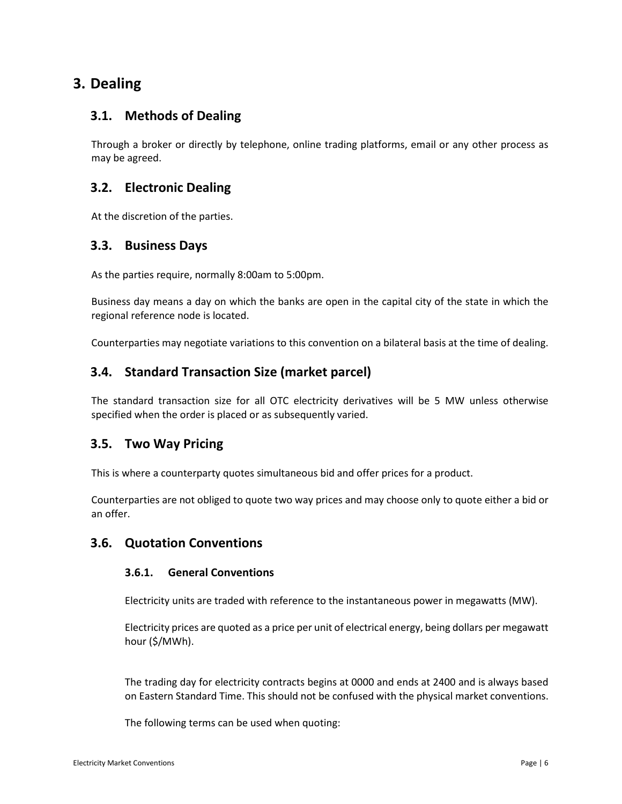## <span id="page-5-0"></span>**3. Dealing**

## <span id="page-5-1"></span>**3.1. Methods of Dealing**

Through a broker or directly by telephone, online trading platforms, email or any other process as may be agreed.

## <span id="page-5-2"></span>**3.2. Electronic Dealing**

At the discretion of the parties.

## <span id="page-5-3"></span>**3.3. Business Days**

As the parties require, normally 8:00am to 5:00pm.

Business day means a day on which the banks are open in the capital city of the state in which the regional reference node is located.

Counterparties may negotiate variations to this convention on a bilateral basis at the time of dealing.

## <span id="page-5-4"></span>**3.4. Standard Transaction Size (market parcel)**

The standard transaction size for all OTC electricity derivatives will be 5 MW unless otherwise specified when the order is placed or as subsequently varied.

## <span id="page-5-5"></span>**3.5. Two Way Pricing**

This is where a counterparty quotes simultaneous bid and offer prices for a product.

Counterparties are not obliged to quote two way prices and may choose only to quote either a bid or an offer.

## <span id="page-5-7"></span><span id="page-5-6"></span>**3.6. Quotation Conventions**

### **3.6.1. General Conventions**

Electricity units are traded with reference to the instantaneous power in megawatts (MW).

Electricity prices are quoted as a price per unit of electrical energy, being dollars per megawatt hour (\$/MWh).

The trading day for electricity contracts begins at 0000 and ends at 2400 and is always based on Eastern Standard Time. This should not be confused with the physical market conventions.

The following terms can be used when quoting: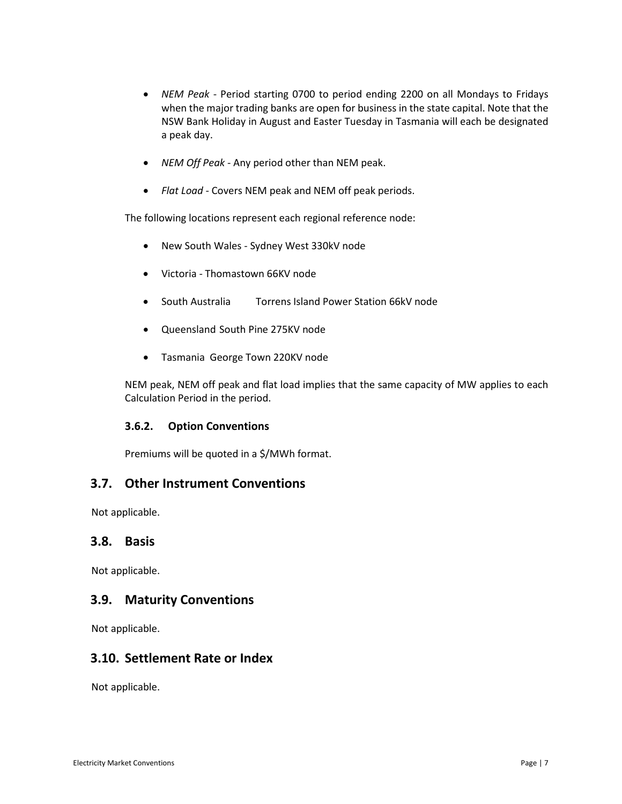- *NEM Peak* Period starting 0700 to period ending 2200 on all Mondays to Fridays when the major trading banks are open for business in the state capital. Note that the NSW Bank Holiday in August and Easter Tuesday in Tasmania will each be designated a peak day.
- *NEM Off Peak* Any period other than NEM peak.
- *Flat Load* Covers NEM peak and NEM off peak periods.

The following locations represent each regional reference node:

- New South Wales Sydney West 330kV node
- Victoria Thomastown 66KV node
- South Australia Torrens Island Power Station 66kV node
- Queensland South Pine 275KV node
- Tasmania George Town 220KV node

NEM peak, NEM off peak and flat load implies that the same capacity of MW applies to each Calculation Period in the period.

#### <span id="page-6-0"></span>**3.6.2. Option Conventions**

Premiums will be quoted in a \$/MWh format.

### <span id="page-6-1"></span>**3.7. Other Instrument Conventions**

Not applicable.

### <span id="page-6-2"></span>**3.8. Basis**

Not applicable.

### <span id="page-6-3"></span>**3.9. Maturity Conventions**

Not applicable.

## <span id="page-6-4"></span>**3.10. Settlement Rate or Index**

Not applicable.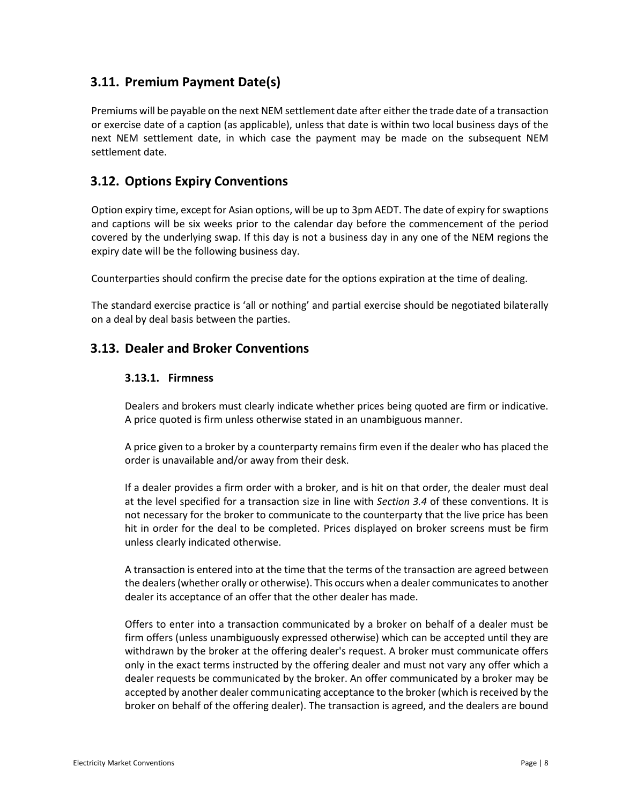## <span id="page-7-0"></span>**3.11. Premium Payment Date(s)**

Premiums will be payable on the next NEM settlement date after either the trade date of a transaction or exercise date of a caption (as applicable), unless that date is within two local business days of the next NEM settlement date, in which case the payment may be made on the subsequent NEM settlement date.

## <span id="page-7-1"></span>**3.12. Options Expiry Conventions**

Option expiry time, except for Asian options, will be up to 3pm AEDT. The date of expiry for swaptions and captions will be six weeks prior to the calendar day before the commencement of the period covered by the underlying swap. If this day is not a business day in any one of the NEM regions the expiry date will be the following business day.

Counterparties should confirm the precise date for the options expiration at the time of dealing.

The standard exercise practice is 'all or nothing' and partial exercise should be negotiated bilaterally on a deal by deal basis between the parties.

## <span id="page-7-3"></span><span id="page-7-2"></span>**3.13. Dealer and Broker Conventions**

#### **3.13.1. Firmness**

Dealers and brokers must clearly indicate whether prices being quoted are firm or indicative. A price quoted is firm unless otherwise stated in an unambiguous manner.

A price given to a broker by a counterparty remains firm even if the dealer who has placed the order is unavailable and/or away from their desk.

If a dealer provides a firm order with a broker, and is hit on that order, the dealer must deal at the level specified for a transaction size in line with *Section 3.4* of these conventions. It is not necessary for the broker to communicate to the counterparty that the live price has been hit in order for the deal to be completed. Prices displayed on broker screens must be firm unless clearly indicated otherwise.

A transaction is entered into at the time that the terms of the transaction are agreed between the dealers (whether orally or otherwise). This occurs when a dealer communicates to another dealer its acceptance of an offer that the other dealer has made.

Offers to enter into a transaction communicated by a broker on behalf of a dealer must be firm offers (unless unambiguously expressed otherwise) which can be accepted until they are withdrawn by the broker at the offering dealer's request. A broker must communicate offers only in the exact terms instructed by the offering dealer and must not vary any offer which a dealer requests be communicated by the broker. An offer communicated by a broker may be accepted by another dealer communicating acceptance to the broker (which is received by the broker on behalf of the offering dealer). The transaction is agreed, and the dealers are bound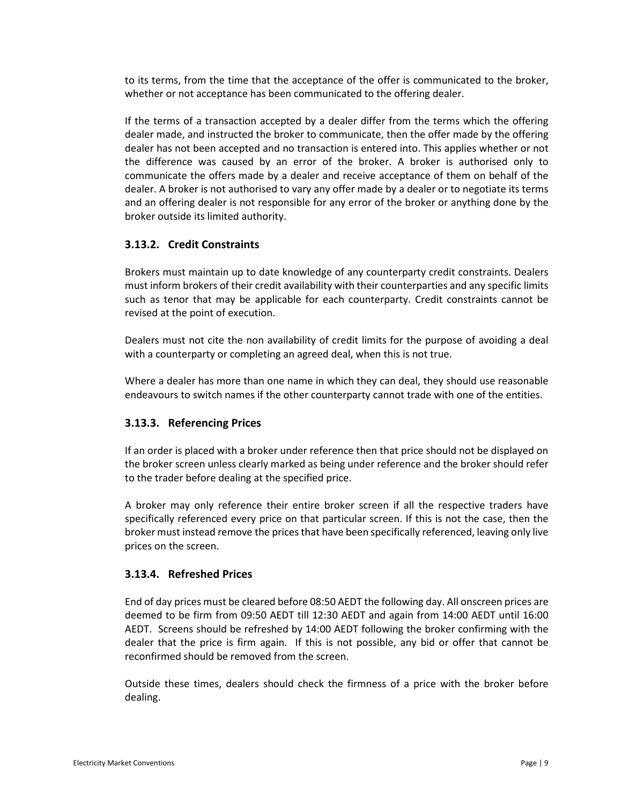to its terms, from the time that the acceptance of the offer is communicated to the broker, whether or not acceptance has been communicated to the offering dealer.

If the terms of a transaction accepted by a dealer differ from the terms which the offering dealer made, and instructed the broker to communicate, then the offer made by the offering dealer has not been accepted and no transaction is entered into. This applies whether or not the difference was caused by an error of the broker. A broker is authorised only to communicate the offers made by a dealer and receive acceptance of them on behalf of the dealer. A broker is not authorised to vary any offer made by a dealer or to negotiate its terms and an offering dealer is not responsible for any error of the broker or anything done by the broker outside its limited authority.

#### <span id="page-8-0"></span>**3.13.2. Credit Constraints**

Brokers must maintain up to date knowledge of any counterparty credit constraints. Dealers must inform brokers of their credit availability with their counterparties and any specific limits such as tenor that may be applicable for each counterparty. Credit constraints cannot be revised at the point of execution.

Dealers must not cite the non availability of credit limits for the purpose of avoiding a deal with a counterparty or completing an agreed deal, when this is not true.

Where a dealer has more than one name in which they can deal, they should use reasonable endeavours to switch names if the other counterparty cannot trade with one of the entities.

#### <span id="page-8-1"></span>**3.13.3. Referencing Prices**

If an order is placed with a broker under reference then that price should not be displayed on the broker screen unless clearly marked as being under reference and the broker should refer to the trader before dealing at the specified price.

A broker may only reference their entire broker screen if all the respective traders have specifically referenced every price on that particular screen. If this is not the case, then the broker must instead remove the prices that have been specifically referenced, leaving only live prices on the screen.

#### <span id="page-8-2"></span>**3.13.4. Refreshed Prices**

End of day prices must be cleared before 08:50 AEDT the following day. All onscreen prices are deemed to be firm from 09:50 AEDT till 12:30 AEDT and again from 14:00 AEDT until 16:00 AEDT. Screens should be refreshed by 14:00 AEDT following the broker confirming with the dealer that the price is firm again. If this is not possible, any bid or offer that cannot be reconfirmed should be removed from the screen.

Outside these times, dealers should check the firmness of a price with the broker before dealing.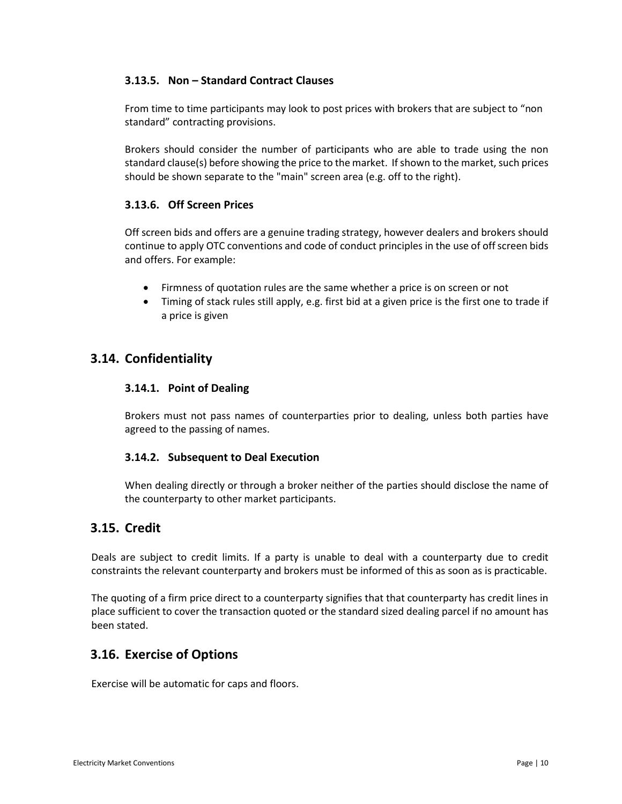### <span id="page-9-0"></span>**3.13.5. Non – Standard Contract Clauses**

From time to time participants may look to post prices with brokers that are subject to "non standard" contracting provisions.

Brokers should consider the number of participants who are able to trade using the non standard clause(s) before showing the price to the market. If shown to the market, such prices should be shown separate to the "main" screen area (e.g. off to the right).

#### <span id="page-9-1"></span>**3.13.6. Off Screen Prices**

Off screen bids and offers are a genuine trading strategy, however dealers and brokers should continue to apply OTC conventions and code of conduct principles in the use of off screen bids and offers. For example:

- Firmness of quotation rules are the same whether a price is on screen or not
- Timing of stack rules still apply, e.g. first bid at a given price is the first one to trade if a price is given

## <span id="page-9-3"></span><span id="page-9-2"></span>**3.14. Confidentiality**

#### **3.14.1. Point of Dealing**

Brokers must not pass names of counterparties prior to dealing, unless both parties have agreed to the passing of names.

### <span id="page-9-4"></span>**3.14.2. Subsequent to Deal Execution**

When dealing directly or through a broker neither of the parties should disclose the name of the counterparty to other market participants.

## <span id="page-9-5"></span>**3.15. Credit**

Deals are subject to credit limits. If a party is unable to deal with a counterparty due to credit constraints the relevant counterparty and brokers must be informed of this as soon as is practicable.

The quoting of a firm price direct to a counterparty signifies that that counterparty has credit lines in place sufficient to cover the transaction quoted or the standard sized dealing parcel if no amount has been stated.

## <span id="page-9-6"></span>**3.16. Exercise of Options**

Exercise will be automatic for caps and floors.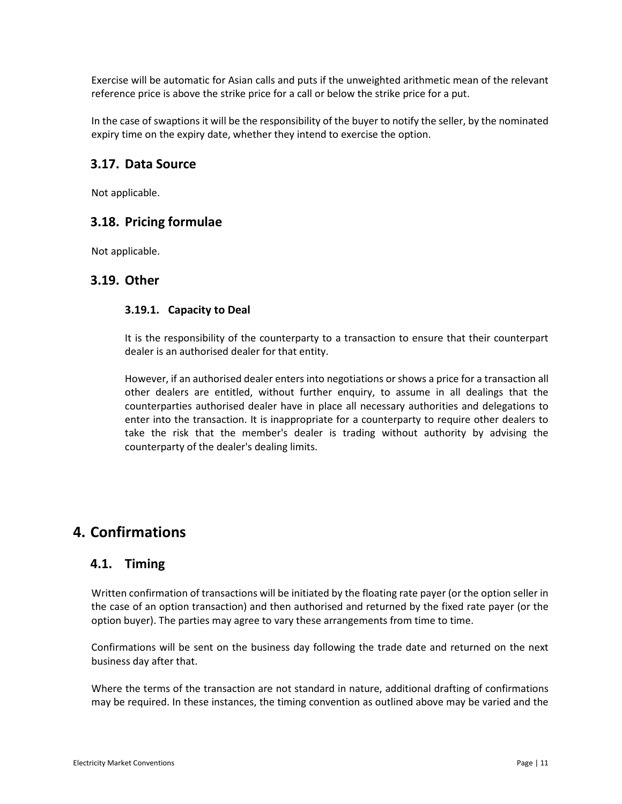Exercise will be automatic for Asian calls and puts if the unweighted arithmetic mean of the relevant reference price is above the strike price for a call or below the strike price for a put.

In the case of swaptions it will be the responsibility of the buyer to notify the seller, by the nominated expiry time on the expiry date, whether they intend to exercise the option.

## <span id="page-10-0"></span>**3.17. Data Source**

Not applicable.

## <span id="page-10-1"></span>**3.18. Pricing formulae**

Not applicable.

### <span id="page-10-3"></span><span id="page-10-2"></span>**3.19. Other**

#### **3.19.1. Capacity to Deal**

It is the responsibility of the counterparty to a transaction to ensure that their counterpart dealer is an authorised dealer for that entity.

However, if an authorised dealer enters into negotiations or shows a price for a transaction all other dealers are entitled, without further enquiry, to assume in all dealings that the counterparties authorised dealer have in place all necessary authorities and delegations to enter into the transaction. It is inappropriate for a counterparty to require other dealers to take the risk that the member's dealer is trading without authority by advising the counterparty of the dealer's dealing limits.

## <span id="page-10-4"></span>**4. Confirmations**

### <span id="page-10-5"></span>**4.1. Timing**

Written confirmation of transactions will be initiated by the floating rate payer (or the option seller in the case of an option transaction) and then authorised and returned by the fixed rate payer (or the option buyer). The parties may agree to vary these arrangements from time to time.

Confirmations will be sent on the business day following the trade date and returned on the next business day after that.

Where the terms of the transaction are not standard in nature, additional drafting of confirmations may be required. In these instances, the timing convention as outlined above may be varied and the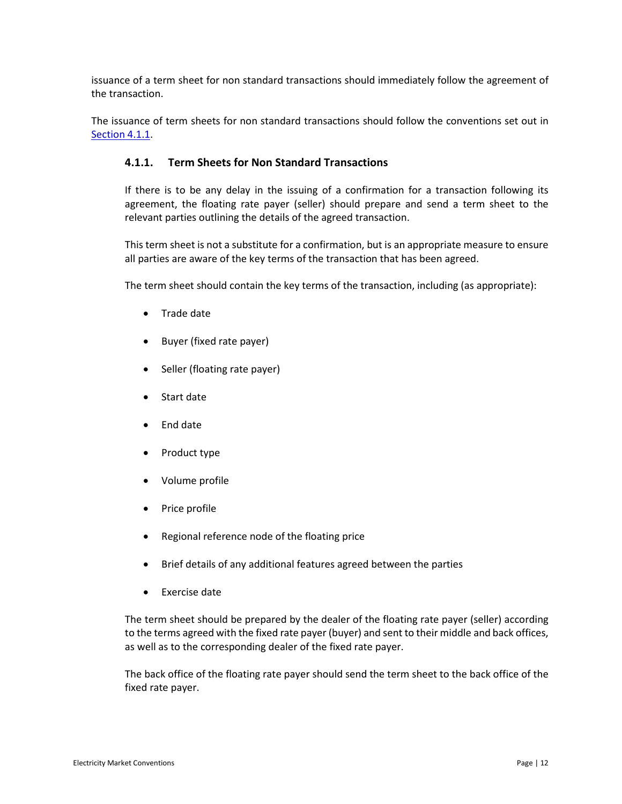issuance of a term sheet for non standard transactions should immediately follow the agreement of the transaction.

<span id="page-11-0"></span>The issuance of term sheets for non standard transactions should follow the conventions set out in [Section 4.1.1.](#page-11-0)

#### **4.1.1. Term Sheets for Non Standard Transactions**

If there is to be any delay in the issuing of a confirmation for a transaction following its agreement, the floating rate payer (seller) should prepare and send a term sheet to the relevant parties outlining the details of the agreed transaction.

This term sheet is not a substitute for a confirmation, but is an appropriate measure to ensure all parties are aware of the key terms of the transaction that has been agreed.

The term sheet should contain the key terms of the transaction, including (as appropriate):

- Trade date
- Buyer (fixed rate payer)
- Seller (floating rate payer)
- Start date
- End date
- Product type
- Volume profile
- Price profile
- Regional reference node of the floating price
- Brief details of any additional features agreed between the parties
- Exercise date

The term sheet should be prepared by the dealer of the floating rate payer (seller) according to the terms agreed with the fixed rate payer (buyer) and sent to their middle and back offices, as well as to the corresponding dealer of the fixed rate payer.

The back office of the floating rate payer should send the term sheet to the back office of the fixed rate payer.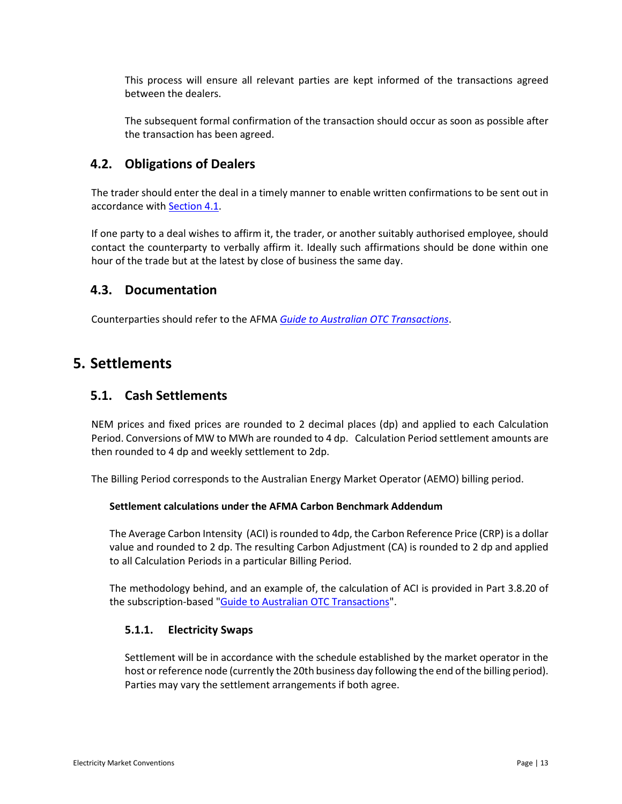This process will ensure all relevant parties are kept informed of the transactions agreed between the dealers.

The subsequent formal confirmation of the transaction should occur as soon as possible after the transaction has been agreed.

## <span id="page-12-0"></span>**4.2. Obligations of Dealers**

The trader should enter the deal in a timely manner to enable written confirmations to be sent out in accordance with **Section 4.1**.

If one party to a deal wishes to affirm it, the trader, or another suitably authorised employee, should contact the counterparty to verbally affirm it. Ideally such affirmations should be done within one hour of the trade but at the latest by close of business the same day.

### <span id="page-12-1"></span>**4.3. Documentation**

Counterparties should refer to the AFMA *[Guide to Australian OTC Transactions](http://www.otcguide.com.au/home)*.

## <span id="page-12-2"></span>**5. Settlements**

## <span id="page-12-3"></span>**5.1. Cash Settlements**

NEM prices and fixed prices are rounded to 2 decimal places (dp) and applied to each Calculation Period. Conversions of MW to MWh are rounded to 4 dp. Calculation Period settlement amounts are then rounded to 4 dp and weekly settlement to 2dp.

The Billing Period corresponds to the Australian Energy Market Operator (AEMO) billing period.

#### **Settlement calculations under the AFMA Carbon Benchmark Addendum**

The Average Carbon Intensity (ACI) is rounded to 4dp, the Carbon Reference Price (CRP) is a dollar value and rounded to 2 dp. The resulting Carbon Adjustment (CA) is rounded to 2 dp and applied to all Calculation Periods in a particular Billing Period.

The methodology behind, and an example of, the calculation of ACI is provided in Part 3.8.20 of the subscription-based ["Guide to Australian OTC Transactions"](http://www.otcguide.com.au/home.html).

### <span id="page-12-4"></span>**5.1.1. Electricity Swaps**

Settlement will be in accordance with the schedule established by the market operator in the host or reference node (currently the 20th business day following the end of the billing period). Parties may vary the settlement arrangements if both agree.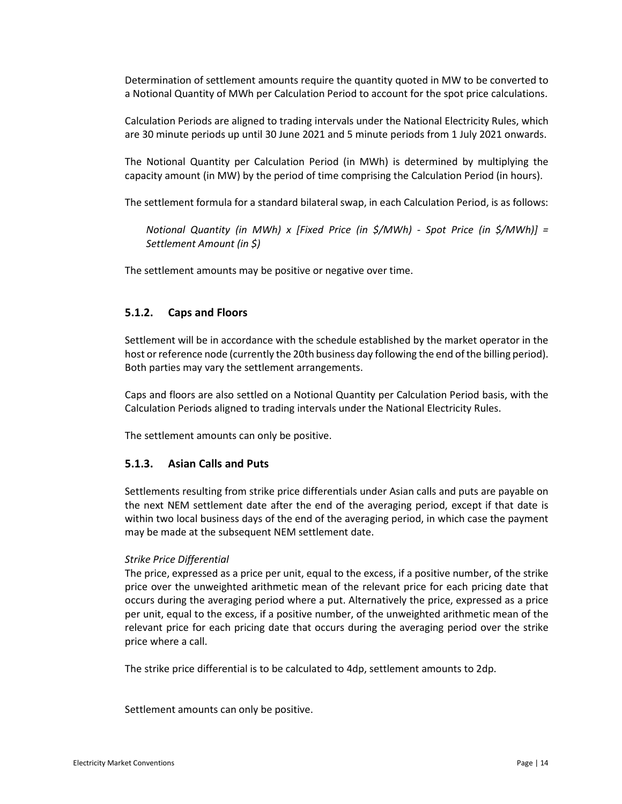Determination of settlement amounts require the quantity quoted in MW to be converted to a Notional Quantity of MWh per Calculation Period to account for the spot price calculations.

Calculation Periods are aligned to trading intervals under the National Electricity Rules, which are 30 minute periods up until 30 June 2021 and 5 minute periods from 1 July 2021 onwards.

The Notional Quantity per Calculation Period (in MWh) is determined by multiplying the capacity amount (in MW) by the period of time comprising the Calculation Period (in hours).

The settlement formula for a standard bilateral swap, in each Calculation Period, is as follows:

*Notional Quantity (in MWh) x [Fixed Price (in \$/MWh) - Spot Price (in \$/MWh)] = Settlement Amount (in \$)*

The settlement amounts may be positive or negative over time.

#### <span id="page-13-0"></span>**5.1.2. Caps and Floors**

Settlement will be in accordance with the schedule established by the market operator in the host or reference node (currently the 20th business day following the end of the billing period). Both parties may vary the settlement arrangements.

Caps and floors are also settled on a Notional Quantity per Calculation Period basis, with the Calculation Periods aligned to trading intervals under the National Electricity Rules.

The settlement amounts can only be positive.

#### <span id="page-13-1"></span>**5.1.3. Asian Calls and Puts**

Settlements resulting from strike price differentials under Asian calls and puts are payable on the next NEM settlement date after the end of the averaging period, except if that date is within two local business days of the end of the averaging period, in which case the payment may be made at the subsequent NEM settlement date.

#### *Strike Price Differential*

The price, expressed as a price per unit, equal to the excess, if a positive number, of the strike price over the unweighted arithmetic mean of the relevant price for each pricing date that occurs during the averaging period where a put. Alternatively the price, expressed as a price per unit, equal to the excess, if a positive number, of the unweighted arithmetic mean of the relevant price for each pricing date that occurs during the averaging period over the strike price where a call.

The strike price differential is to be calculated to 4dp, settlement amounts to 2dp.

Settlement amounts can only be positive.